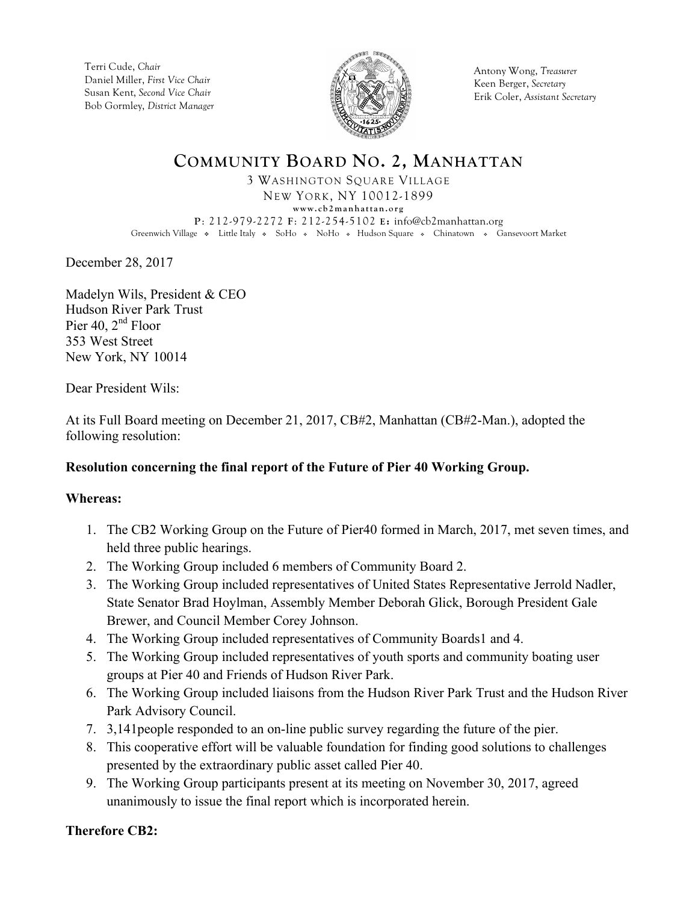Terri Cude, *Chair* Daniel Miller, *First Vice Chair* Susan Kent, *Second Vice Chair* Bob Gormley, *District Manager*



Antony Wong, *Treasurer* Keen Berger, *Secretary* Erik Coler, *Assistant Secretary*

### **COMMUNITY BOARD NO. 2, MANHATTAN** 3 WASHINGTON SQUARE VILLAGE NEW YORK, NY 10012-1899 **www.cb2manhattan.org P**: 212-979-2272 **F**: 212-254-5102 **E:** info@cb2manhattan.org Greenwich Village • Little Italy • SoHo • NoHo • Hudson Square • Chinatown • Gansevoort Market

December 28, 2017

Madelyn Wils, President & CEO Hudson River Park Trust Pier 40,  $2<sup>nd</sup>$  Floor 353 West Street New York, NY 10014

Dear President Wils:

At its Full Board meeting on December 21, 2017, CB#2, Manhattan (CB#2-Man.), adopted the following resolution:

# **Resolution concerning the final report of the Future of Pier 40 Working Group.**

### **Whereas:**

- 1. The CB2 Working Group on the Future of Pier40 formed in March, 2017, met seven times, and held three public hearings.
- 2. The Working Group included 6 members of Community Board 2.
- 3. The Working Group included representatives of United States Representative Jerrold Nadler, State Senator Brad Hoylman, Assembly Member Deborah Glick, Borough President Gale Brewer, and Council Member Corey Johnson.
- 4. The Working Group included representatives of Community Boards1 and 4.
- 5. The Working Group included representatives of youth sports and community boating user groups at Pier 40 and Friends of Hudson River Park.
- 6. The Working Group included liaisons from the Hudson River Park Trust and the Hudson River Park Advisory Council.
- 7. 3,141people responded to an on-line public survey regarding the future of the pier.
- 8. This cooperative effort will be valuable foundation for finding good solutions to challenges presented by the extraordinary public asset called Pier 40.
- 9. The Working Group participants present at its meeting on November 30, 2017, agreed unanimously to issue the final report which is incorporated herein.

# **Therefore CB2:**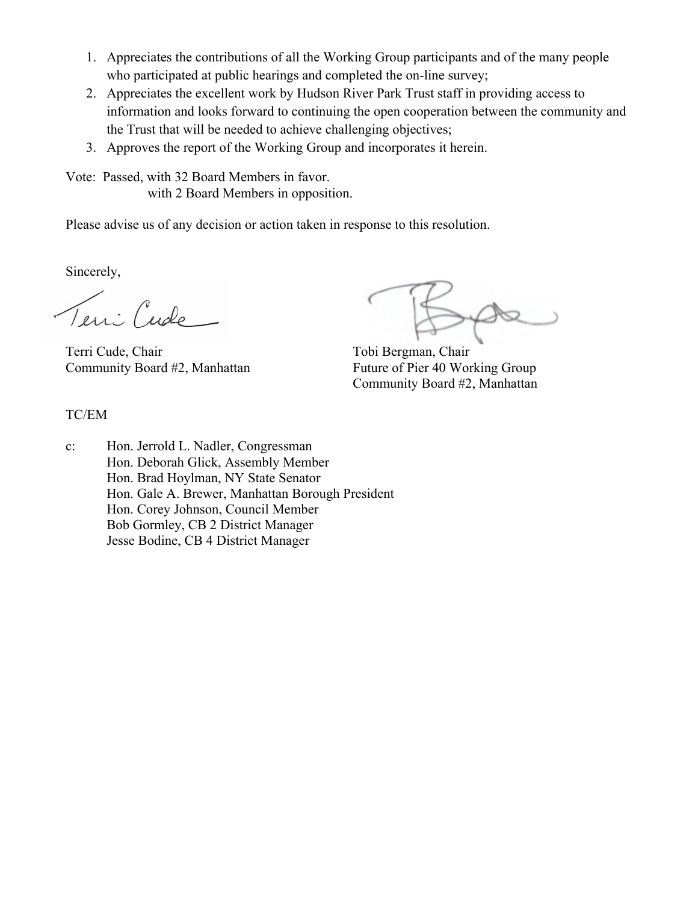- 1. Appreciates the contributions of all the Working Group participants and of the many people who participated at public hearings and completed the on-line survey;
- 2. Appreciates the excellent work by Hudson River Park Trust staff in providing access to information and looks forward to continuing the open cooperation between the community and the Trust that will be needed to achieve challenging objectives;
- 3. Approves the report of the Working Group and incorporates it herein.

Vote: Passed, with 32 Board Members in favor. with 2 Board Members in opposition.

Please advise us of any decision or action taken in response to this resolution.

Sincerely,

Teni Cude

Terri Cude, Chair Tobi Bergman, Chair Community Board #2, Manhattan Future of Pier 40 Working Group

Community Board #2, Manhattan

# TC/EM

c: Hon. Jerrold L. Nadler, Congressman Hon. Deborah Glick, Assembly Member Hon. Brad Hoylman, NY State Senator Hon. Gale A. Brewer, Manhattan Borough President Hon. Corey Johnson, Council Member Bob Gormley, CB 2 District Manager Jesse Bodine, CB 4 District Manager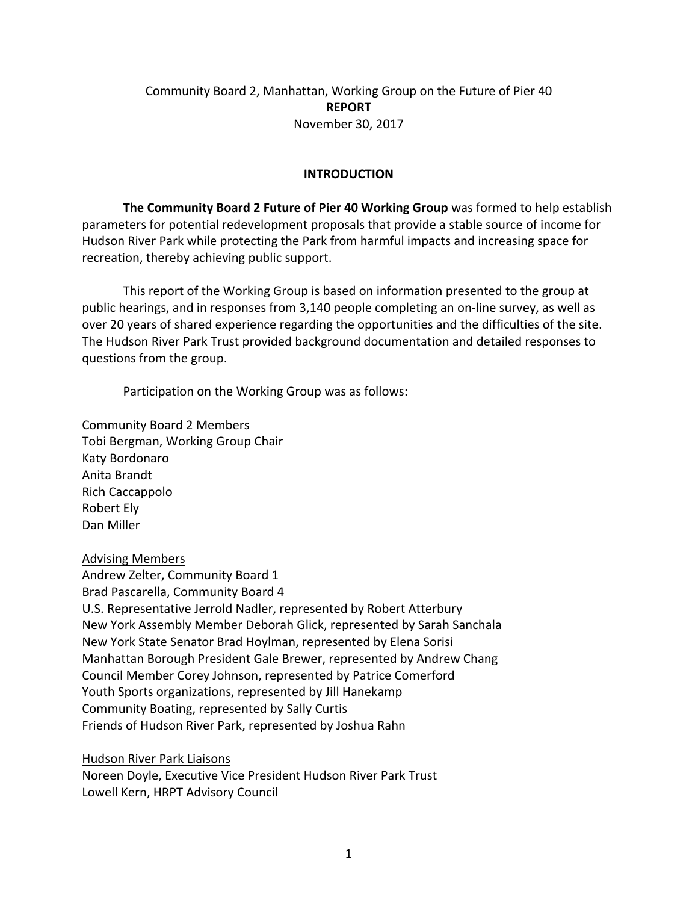# Community Board 2, Manhattan, Working Group on the Future of Pier 40 **REPORT** November 30, 2017

### **INTRODUCTION**

**The Community Board 2 Future of Pier 40 Working Group** was formed to help establish parameters for potential redevelopment proposals that provide a stable source of income for Hudson River Park while protecting the Park from harmful impacts and increasing space for recreation, thereby achieving public support.

This report of the Working Group is based on information presented to the group at public hearings, and in responses from 3,140 people completing an on-line survey, as well as over 20 years of shared experience regarding the opportunities and the difficulties of the site. The Hudson River Park Trust provided background documentation and detailed responses to questions from the group.

Participation on the Working Group was as follows:

Community!Board!2 Members Tobi Bergman, Working Group Chair Katy!Bordonaro Anita Brandt Rich!Caccappolo Robert Ely Dan Miller

### Advising!Members

Andrew Zelter, Community Board 1 Brad Pascarella, Community Board 4 U.S. Representative Jerrold Nadler, represented by Robert Atterbury New York Assembly Member Deborah Glick, represented by Sarah Sanchala New York State Senator Brad Hoylman, represented by Elena Sorisi Manhattan Borough President Gale Brewer, represented by Andrew Chang Council Member Corey Johnson, represented by Patrice Comerford Youth Sports organizations, represented by Jill Hanekamp Community Boating, represented by Sally Curtis Friends of Hudson River Park, represented by Joshua Rahn

Hudson River Park Liaisons

Noreen Doyle, Executive Vice President Hudson River Park Trust Lowell Kern, HRPT Advisory Council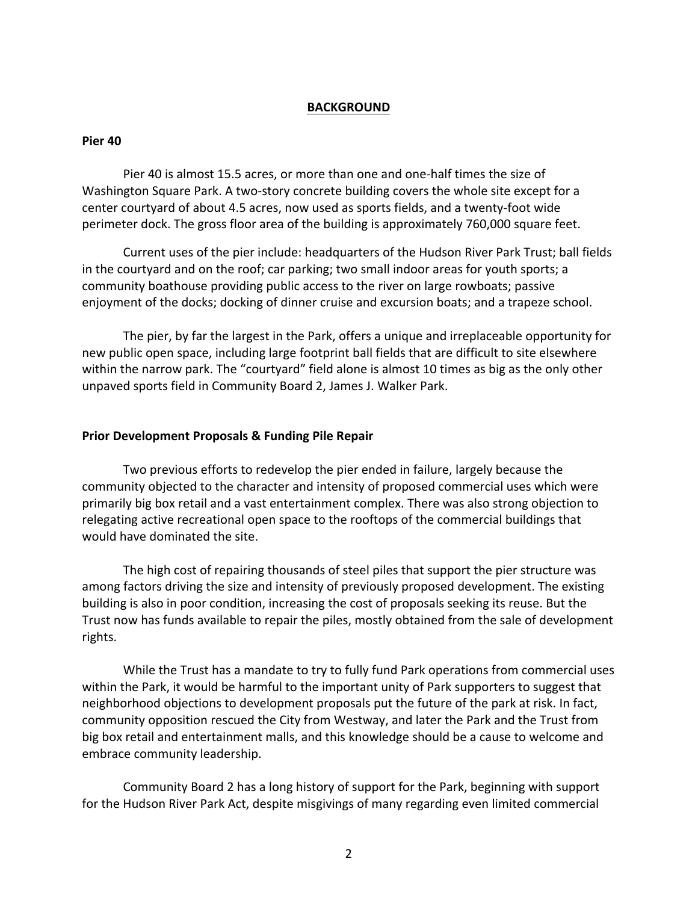#### **BACKGROUND**

#### **Pier&40**

Pier 40 is almost 15.5 acres, or more than one and one-half times the size of Washington Square Park. A two-story concrete building covers the whole site except for a center courtyard of about 4.5 acres, now used as sports fields, and a twenty-foot wide perimeter dock. The gross floor area of the building is approximately 760,000 square feet.

Current uses of the pier include: headquarters of the Hudson River Park Trust; ball fields in the courtyard and on the roof; car parking; two small indoor areas for youth sports; a community boathouse providing public access to the river on large rowboats; passive enjoyment of the docks; docking of dinner cruise and excursion boats; and a trapeze school.

The pier, by far the largest in the Park, offers a unique and irreplaceable opportunity for new public open space, including large footprint ball fields that are difficult to site elsewhere within the narrow park. The "courtyard" field alone is almost 10 times as big as the only other unpaved sports field in Community Board 2, James J. Walker Park.

#### **Prior Development Proposals & Funding Pile Repair**

Two previous efforts to redevelop the pier ended in failure, largely because the community objected to the character and intensity of proposed commercial uses which were primarily big box retail and a vast entertainment complex. There was also strong objection to relegating active recreational open space to the rooftops of the commercial buildings that would have dominated the site.

The high cost of repairing thousands of steel piles that support the pier structure was among factors driving the size and intensity of previously proposed development. The existing building is also in poor condition, increasing the cost of proposals seeking its reuse. But the Trust now has funds available to repair the piles, mostly obtained from the sale of development rights.

While the Trust has a mandate to try to fully fund Park operations from commercial uses within the Park, it would be harmful to the important unity of Park supporters to suggest that neighborhood objections to development proposals put the future of the park at risk. In fact, community opposition rescued the City from Westway, and later the Park and the Trust from big box retail and entertainment malls, and this knowledge should be a cause to welcome and embrace community leadership.

Community Board 2 has a long history of support for the Park, beginning with support for the Hudson River Park Act, despite misgivings of many regarding even limited commercial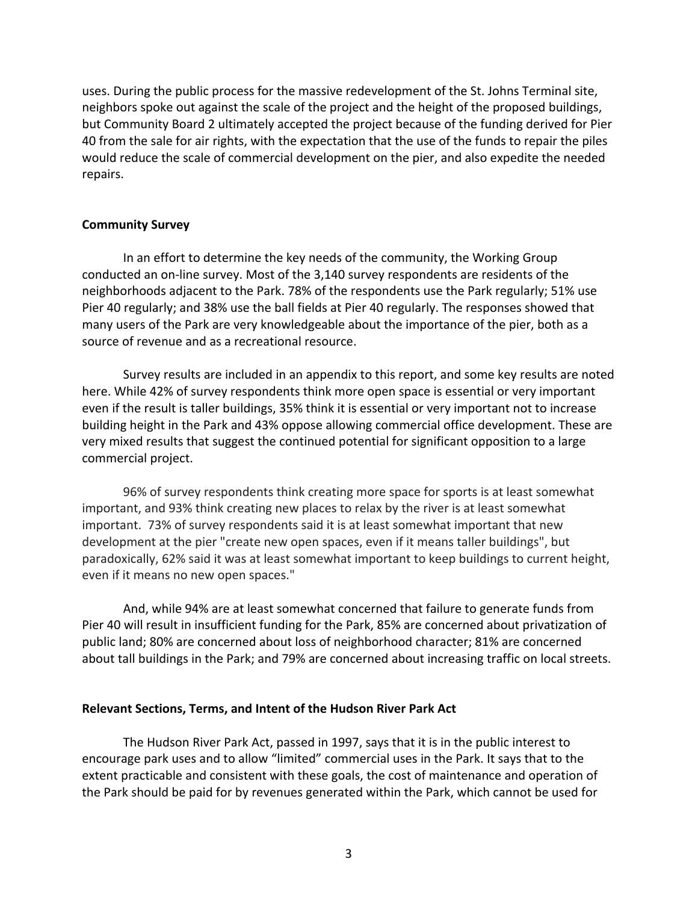uses. During the public process for the massive redevelopment of the St. Johns Terminal site, neighbors spoke out against the scale of the project and the height of the proposed buildings, but Community Board 2 ultimately accepted the project because of the funding derived for Pier 40 from the sale for air rights, with the expectation that the use of the funds to repair the piles would reduce the scale of commercial development on the pier, and also expedite the needed repairs.

#### **Community Survey**

In an effort to determine the key needs of the community, the Working Group conducted an on-line survey. Most of the 3,140 survey respondents are residents of the neighborhoods adjacent to the Park. 78% of the respondents use the Park regularly; 51% use Pier 40 regularly; and 38% use the ball fields at Pier 40 regularly. The responses showed that many users of the Park are very knowledgeable about the importance of the pier, both as a source of revenue and as a recreational resource.

Survey results are included in an appendix to this report, and some key results are noted here. While 42% of survey respondents think more open space is essential or very important even if the result is taller buildings, 35% think it is essential or very important not to increase building height in the Park and 43% oppose allowing commercial office development. These are very mixed results that suggest the continued potential for significant opposition to a large commercial project.

96% of survey respondents think creating more space for sports is at least somewhat important, and 93% think creating new places to relax by the river is at least somewhat important. 73% of survey respondents said it is at least somewhat important that new development at the pier "create new open spaces, even if it means taller buildings", but paradoxically, 62% said it was at least somewhat important to keep buildings to current height, even if it means no new open spaces."

And, while 94% are at least somewhat concerned that failure to generate funds from Pier 40 will result in insufficient funding for the Park, 85% are concerned about privatization of public land; 80% are concerned about loss of neighborhood character; 81% are concerned about tall buildings in the Park; and 79% are concerned about increasing traffic on local streets.

#### **Relevant Sections, Terms, and Intent of the Hudson River Park Act**

The Hudson River Park Act, passed in 1997, says that it is in the public interest to encourage park uses and to allow "limited" commercial uses in the Park. It says that to the extent practicable and consistent with these goals, the cost of maintenance and operation of the Park should be paid for by revenues generated within the Park, which cannot be used for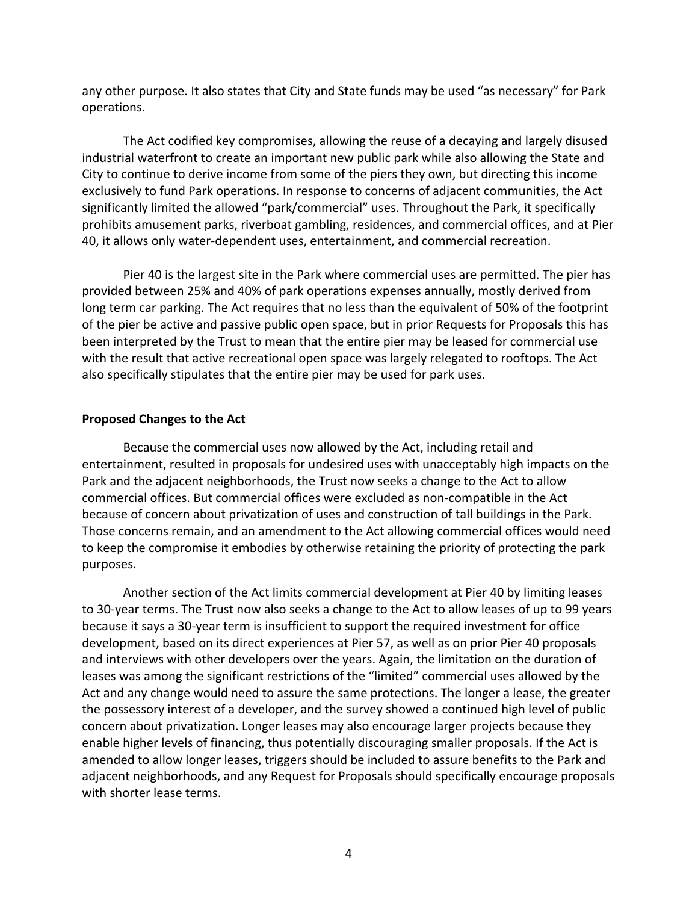any other purpose. It also states that City and State funds may be used "as necessary" for Park operations.

The Act codified key compromises, allowing the reuse of a decaying and largely disused industrial waterfront to create an important new public park while also allowing the State and City to continue to derive income from some of the piers they own, but directing this income exclusively to fund Park operations. In response to concerns of adjacent communities, the Act significantly limited the allowed "park/commercial" uses. Throughout the Park, it specifically prohibits amusement parks, riverboat gambling, residences, and commercial offices, and at Pier 40, it allows only water-dependent uses, entertainment, and commercial recreation.

Pier 40 is the largest site in the Park where commercial uses are permitted. The pier has provided between 25% and 40% of park operations expenses annually, mostly derived from long term car parking. The Act requires that no less than the equivalent of 50% of the footprint of the pier be active and passive public open space, but in prior Requests for Proposals this has been interpreted by the Trust to mean that the entire pier may be leased for commercial use with the result that active recreational open space was largely relegated to rooftops. The Act also specifically stipulates that the entire pier may be used for park uses.

#### **Proposed Changes to the Act**

Because the commercial uses now allowed by the Act, including retail and entertainment, resulted in proposals for undesired uses with unacceptably high impacts on the Park and the adjacent neighborhoods, the Trust now seeks a change to the Act to allow commercial offices. But commercial offices were excluded as non-compatible in the Act because of concern about privatization of uses and construction of tall buildings in the Park. Those concerns remain, and an amendment to the Act allowing commercial offices would need to keep the compromise it embodies by otherwise retaining the priority of protecting the park purposes.

Another section of the Act limits commercial development at Pier 40 by limiting leases to 30-year terms. The Trust now also seeks a change to the Act to allow leases of up to 99 years because it says a 30-year term is insufficient to support the required investment for office development, based on its direct experiences at Pier 57, as well as on prior Pier 40 proposals and interviews with other developers over the years. Again, the limitation on the duration of leases was among the significant restrictions of the "limited" commercial uses allowed by the Act and any change would need to assure the same protections. The longer a lease, the greater the possessory interest of a developer, and the survey showed a continued high level of public concern about privatization. Longer leases may also encourage larger projects because they enable higher levels of financing, thus potentially discouraging smaller proposals. If the Act is amended to allow longer leases, triggers should be included to assure benefits to the Park and adjacent neighborhoods, and any Request for Proposals should specifically encourage proposals with shorter lease terms.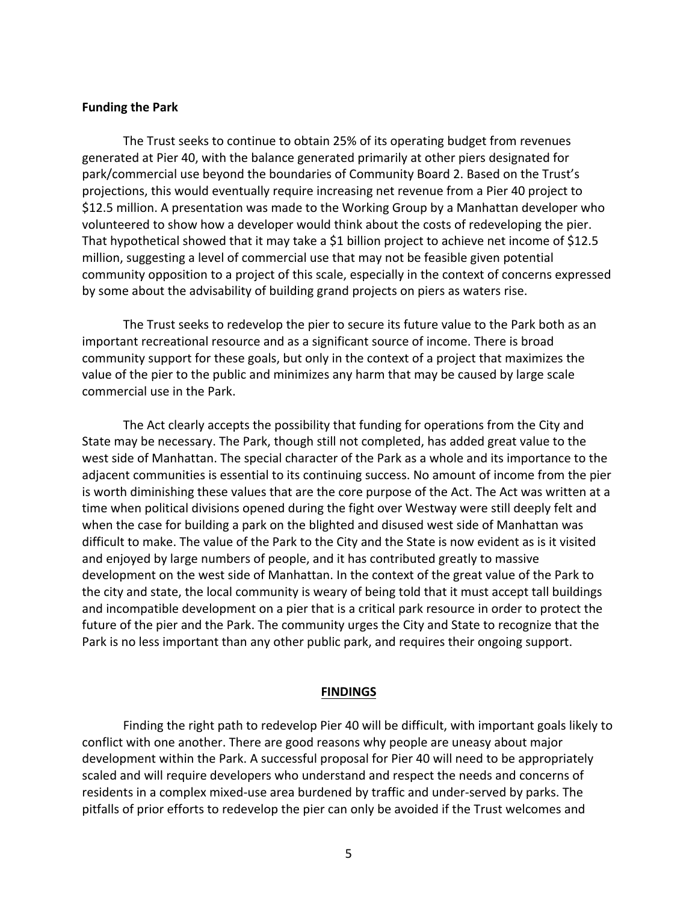#### **Funding the Park**

The Trust seeks to continue to obtain 25% of its operating budget from revenues generated at Pier 40, with the balance generated primarily at other piers designated for park/commercial use beyond the boundaries of Community Board 2. Based on the Trust's projections, this would eventually require increasing net revenue from a Pier 40 project to \$12.5 million. A presentation was made to the Working Group by a Manhattan developer who volunteered to show how a developer would think about the costs of redeveloping the pier. That hypothetical showed that it may take a \$1 billion project to achieve net income of \$12.5 million, suggesting a level of commercial use that may not be feasible given potential community opposition to a project of this scale, especially in the context of concerns expressed by some about the advisability of building grand projects on piers as waters rise.

The Trust seeks to redevelop the pier to secure its future value to the Park both as an important recreational resource and as a significant source of income. There is broad community support for these goals, but only in the context of a project that maximizes the value of the pier to the public and minimizes any harm that may be caused by large scale commercial use in the Park.

The Act clearly accepts the possibility that funding for operations from the City and State may be necessary. The Park, though still not completed, has added great value to the west side of Manhattan. The special character of the Park as a whole and its importance to the adjacent communities is essential to its continuing success. No amount of income from the pier is worth diminishing these values that are the core purpose of the Act. The Act was written at a time when political divisions opened during the fight over Westway were still deeply felt and when the case for building a park on the blighted and disused west side of Manhattan was difficult to make. The value of the Park to the City and the State is now evident as is it visited and enjoyed by large numbers of people, and it has contributed greatly to massive development on the west side of Manhattan. In the context of the great value of the Park to the city and state, the local community is weary of being told that it must accept tall buildings and incompatible development on a pier that is a critical park resource in order to protect the future of the pier and the Park. The community urges the City and State to recognize that the Park is no less important than any other public park, and requires their ongoing support.

#### **FINDINGS**

Finding the right path to redevelop Pier 40 will be difficult, with important goals likely to conflict with one another. There are good reasons why people are uneasy about major development within the Park. A successful proposal for Pier 40 will need to be appropriately scaled and will require developers who understand and respect the needs and concerns of residents in a complex mixed-use area burdened by traffic and under-served by parks. The pitfalls of prior efforts to redevelop the pier can only be avoided if the Trust welcomes and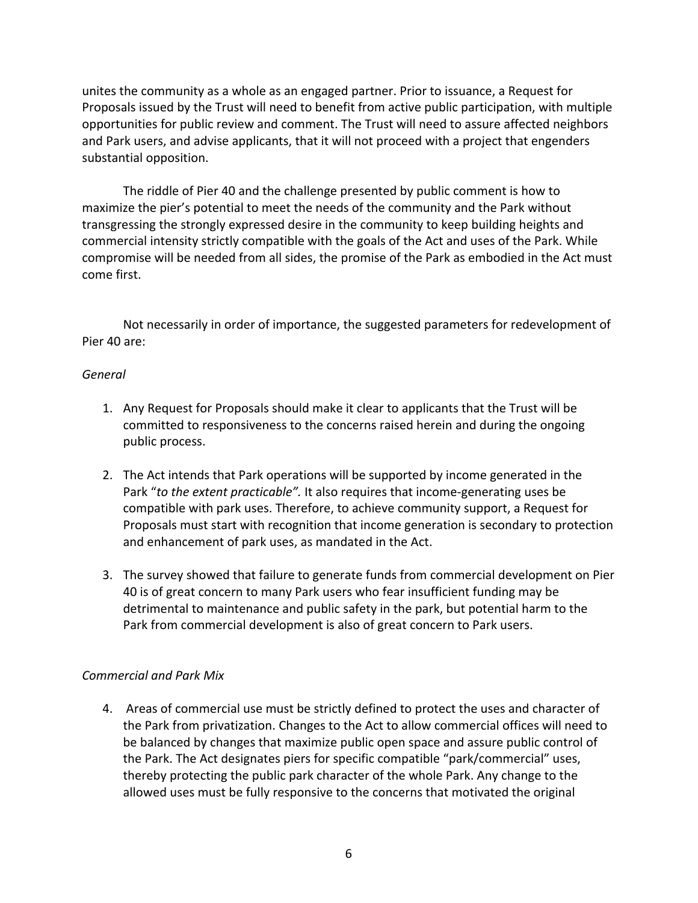unites the community as a whole as an engaged partner. Prior to issuance, a Request for Proposals issued by the Trust will need to benefit from active public participation, with multiple opportunities for public review and comment. The Trust will need to assure affected neighbors and Park users, and advise applicants, that it will not proceed with a project that engenders substantial opposition.

The riddle of Pier 40 and the challenge presented by public comment is how to maximize the pier's potential to meet the needs of the community and the Park without transgressing the strongly expressed desire in the community to keep building heights and commercial intensity strictly compatible with the goals of the Act and uses of the Park. While compromise will be needed from all sides, the promise of the Park as embodied in the Act must come first.

Not necessarily in order of importance, the suggested parameters for redevelopment of Pier 40 are:

### *General*

- 1. Any Request for Proposals should make it clear to applicants that the Trust will be committed to responsiveness to the concerns raised herein and during the ongoing public!process.
- 2. The Act intends that Park operations will be supported by income generated in the Park "to the extent practicable". It also requires that income-generating uses be compatible with park uses. Therefore, to achieve community support, a Request for Proposals must start with recognition that income generation is secondary to protection and enhancement of park uses, as mandated in the Act.
- 3. The survey showed that failure to generate funds from commercial development on Pier 40 is of great concern to many Park users who fear insufficient funding may be detrimental to maintenance and public safety in the park, but potential harm to the Park from commercial development is also of great concern to Park users.

# *Commercial'and'Park'Mix*

4. Areas of commercial use must be strictly defined to protect the uses and character of the Park from privatization. Changes to the Act to allow commercial offices will need to be balanced by changes that maximize public open space and assure public control of the Park. The Act designates piers for specific compatible "park/commercial" uses, thereby protecting the public park character of the whole Park. Any change to the allowed uses must be fully responsive to the concerns that motivated the original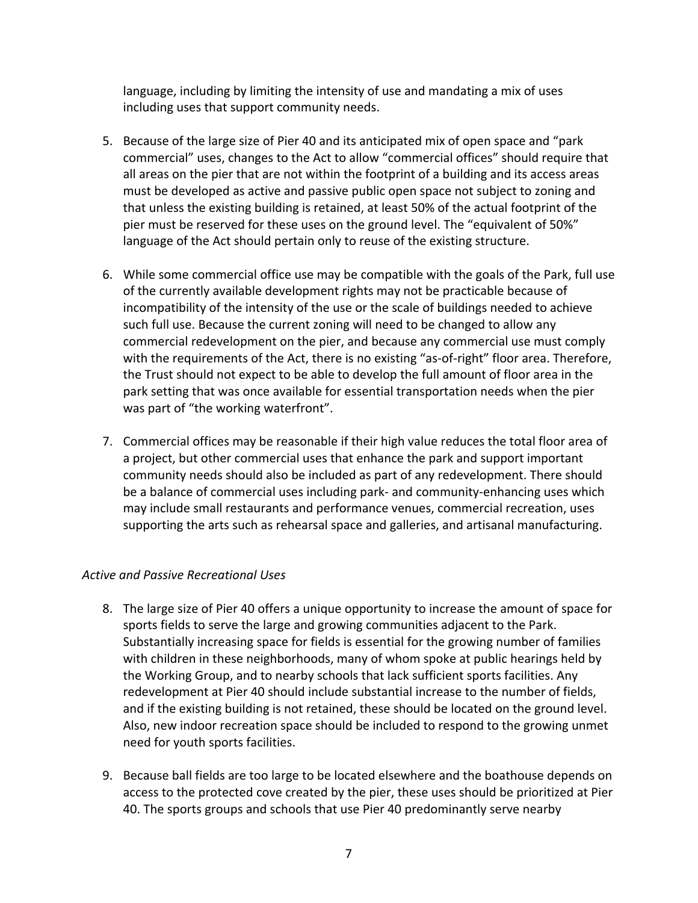language, including by limiting the intensity of use and mandating a mix of uses including uses that support community needs.

- 5. Because of the large size of Pier 40 and its anticipated mix of open space and "park" commercial" uses, changes to the Act to allow "commercial offices" should require that all areas on the pier that are not within the footprint of a building and its access areas must be developed as active and passive public open space not subject to zoning and that unless the existing building is retained, at least 50% of the actual footprint of the pier must be reserved for these uses on the ground level. The "equivalent of 50%" language of the Act should pertain only to reuse of the existing structure.
- 6. While some commercial office use may be compatible with the goals of the Park, full use of the currently available development rights may not be practicable because of incompatibility of the intensity of the use or the scale of buildings needed to achieve such full use. Because the current zoning will need to be changed to allow any commercial redevelopment on the pier, and because any commercial use must comply with the requirements of the Act, there is no existing "as-of-right" floor area. Therefore, the Trust should not expect to be able to develop the full amount of floor area in the park setting that was once available for essential transportation needs when the pier was part of "the working waterfront".
- 7. Commercial offices may be reasonable if their high value reduces the total floor area of a project, but other commercial uses that enhance the park and support important community needs should also be included as part of any redevelopment. There should be a balance of commercial uses including park- and community-enhancing uses which may include small restaurants and performance venues, commercial recreation, uses supporting the arts such as rehearsal space and galleries, and artisanal manufacturing.

# *Active'and'Passive'Recreational'Uses*

- 8. The large size of Pier 40 offers a unique opportunity to increase the amount of space for sports fields to serve the large and growing communities adjacent to the Park. Substantially increasing space for fields is essential for the growing number of families with children in these neighborhoods, many of whom spoke at public hearings held by the Working Group, and to nearby schools that lack sufficient sports facilities. Any redevelopment at Pier 40 should include substantial increase to the number of fields, and if the existing building is not retained, these should be located on the ground level. Also, new indoor recreation space should be included to respond to the growing unmet need for youth sports facilities.
- 9. Because ball fields are too large to be located elsewhere and the boathouse depends on access to the protected cove created by the pier, these uses should be prioritized at Pier 40. The sports groups and schools that use Pier 40 predominantly serve nearby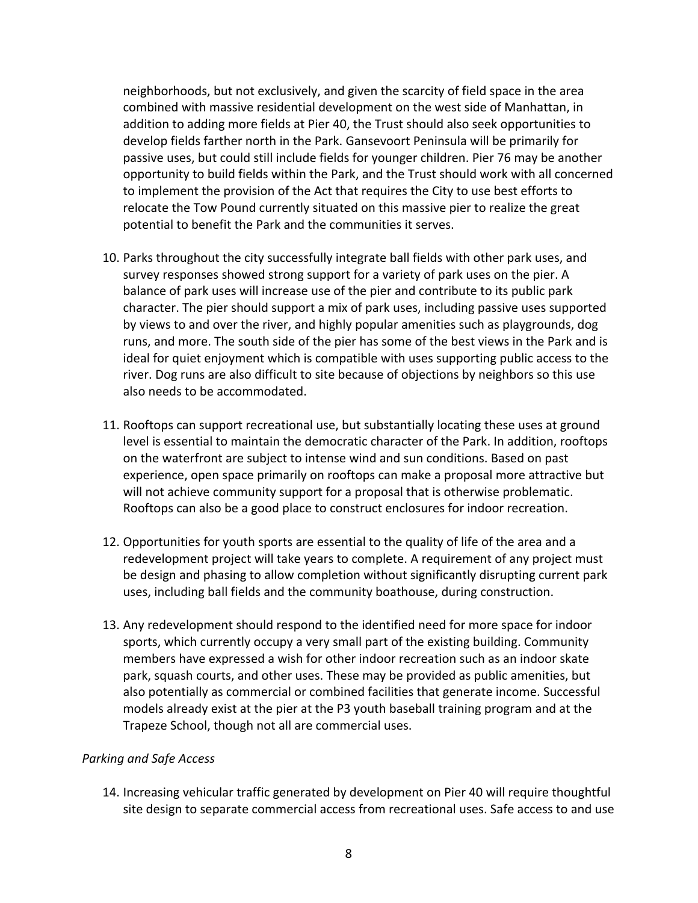neighborhoods, but not exclusively, and given the scarcity of field space in the area combined with massive residential development on the west side of Manhattan, in addition to adding more fields at Pier 40, the Trust should also seek opportunities to develop fields farther north in the Park. Gansevoort Peninsula will be primarily for passive uses, but could still include fields for younger children. Pier 76 may be another opportunity to build fields within the Park, and the Trust should work with all concerned to implement the provision of the Act that requires the City to use best efforts to relocate the Tow Pound currently situated on this massive pier to realize the great potential to benefit the Park and the communities it serves.

- 10. Parks throughout the city successfully integrate ball fields with other park uses, and survey responses showed strong support for a variety of park uses on the pier. A balance of park uses will increase use of the pier and contribute to its public park character. The pier should support a mix of park uses, including passive uses supported by views to and over the river, and highly popular amenities such as playgrounds, dog runs, and more. The south side of the pier has some of the best views in the Park and is ideal for quiet enjoyment which is compatible with uses supporting public access to the river. Dog runs are also difficult to site because of objections by neighbors so this use also needs to be accommodated.
- 11. Rooftops can support recreational use, but substantially locating these uses at ground level is essential to maintain the democratic character of the Park. In addition, rooftops on the waterfront are subject to intense wind and sun conditions. Based on past experience, open space primarily on rooftops can make a proposal more attractive but will not achieve community support for a proposal that is otherwise problematic. Rooftops can also be a good place to construct enclosures for indoor recreation.
- 12. Opportunities for youth sports are essential to the quality of life of the area and a redevelopment project will take years to complete. A requirement of any project must be design and phasing to allow completion without significantly disrupting current park uses, including ball fields and the community boathouse, during construction.
- 13. Any redevelopment should respond to the identified need for more space for indoor sports, which currently occupy a very small part of the existing building. Community members have expressed a wish for other indoor recreation such as an indoor skate park, squash courts, and other uses. These may be provided as public amenities, but also potentially as commercial or combined facilities that generate income. Successful models already exist at the pier at the P3 youth baseball training program and at the Trapeze School, though not all are commercial uses.

### *Parking'and'Safe'Access*

14. Increasing vehicular traffic generated by development on Pier 40 will require thoughtful site design to separate commercial access from recreational uses. Safe access to and use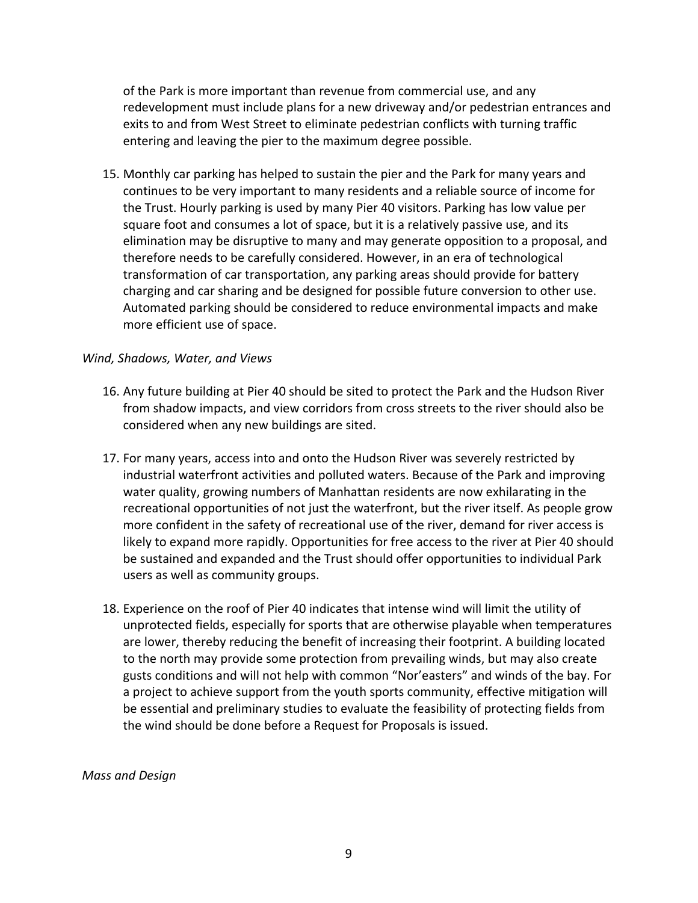of the Park is more important than revenue from commercial use, and any redevelopment must include plans for a new driveway and/or pedestrian entrances and exits to and from West Street to eliminate pedestrian conflicts with turning traffic entering and leaving the pier to the maximum degree possible.

15. Monthly car parking has helped to sustain the pier and the Park for many years and continues to be very important to many residents and a reliable source of income for the Trust. Hourly parking is used by many Pier 40 visitors. Parking has low value per square foot and consumes a lot of space, but it is a relatively passive use, and its elimination may be disruptive to many and may generate opposition to a proposal, and therefore needs to be carefully considered. However, in an era of technological transformation of car transportation, any parking areas should provide for battery charging and car sharing and be designed for possible future conversion to other use. Automated parking should be considered to reduce environmental impacts and make more efficient use of space.

### *Wind,'Shadows,'Water, and'Views*

- 16. Any future building at Pier 40 should be sited to protect the Park and the Hudson River from shadow impacts, and view corridors from cross streets to the river should also be considered when any new buildings are sited.
- 17. For many years, access into and onto the Hudson River was severely restricted by industrial waterfront activities and polluted waters. Because of the Park and improving water quality, growing numbers of Manhattan residents are now exhilarating in the recreational opportunities of not just the waterfront, but the river itself. As people grow more confident in the safety of recreational use of the river, demand for river access is likely to expand more rapidly. Opportunities for free access to the river at Pier 40 should be sustained and expanded and the Trust should offer opportunities to individual Park users as well as community groups.
- 18. Experience on the roof of Pier 40 indicates that intense wind will limit the utility of unprotected fields, especially for sports that are otherwise playable when temperatures are lower, thereby reducing the benefit of increasing their footprint. A building located to the north may provide some protection from prevailing winds, but may also create gusts conditions and will not help with common "Nor'easters" and winds of the bay. For a project to achieve support from the youth sports community, effective mitigation will be essential and preliminary studies to evaluate the feasibility of protecting fields from the wind should be done before a Request for Proposals is issued.

*Mass'and'Design*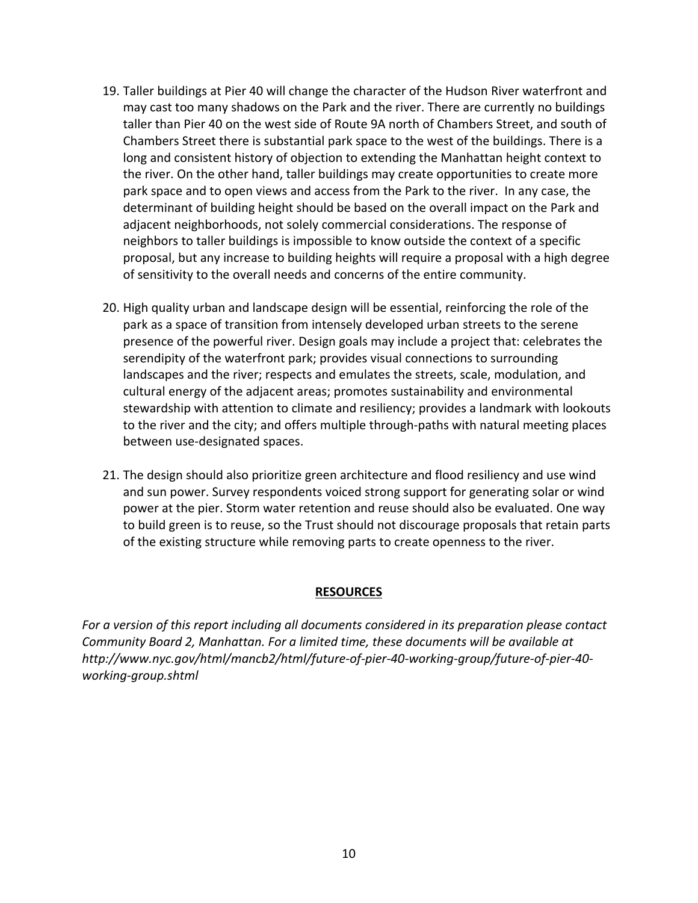- 19. Taller buildings at Pier 40 will change the character of the Hudson River waterfront and may cast too many shadows on the Park and the river. There are currently no buildings taller than Pier 40 on the west side of Route 9A north of Chambers Street, and south of Chambers Street there is substantial park space to the west of the buildings. There is a long and consistent history of objection to extending the Manhattan height context to the river. On the other hand, taller buildings may create opportunities to create more park space and to open views and access from the Park to the river. In any case, the determinant of building height should be based on the overall impact on the Park and adjacent neighborhoods, not solely commercial considerations. The response of neighbors to taller buildings is impossible to know outside the context of a specific proposal, but any increase to building heights will require a proposal with a high degree of sensitivity to the overall needs and concerns of the entire community.
- 20. High quality urban and landscape design will be essential, reinforcing the role of the park as a space of transition from intensely developed urban streets to the serene presence of the powerful river. Design goals may include a project that: celebrates the serendipity of the waterfront park; provides visual connections to surrounding landscapes and the river; respects and emulates the streets, scale, modulation, and cultural energy of the adjacent areas; promotes sustainability and environmental stewardship with attention to climate and resiliency; provides a landmark with lookouts to the river and the city; and offers multiple through-paths with natural meeting places between use-designated spaces.
- 21. The design should also prioritize green architecture and flood resiliency and use wind and sun power. Survey respondents voiced strong support for generating solar or wind power at the pier. Storm water retention and reuse should also be evaluated. One way to build green is to reuse, so the Trust should not discourage proposals that retain parts of the existing structure while removing parts to create openness to the river.

### **RESOURCES**

For a version of this report including all documents considered in its preparation please contact *Community'Board'2,'Manhattan. For'a'limited'time,'these'documents'will'be'available'at'* http://www.nyc.gov/html/mancb2/html/future-of-pier-40-working-group/future-of-pier-40working-group.shtml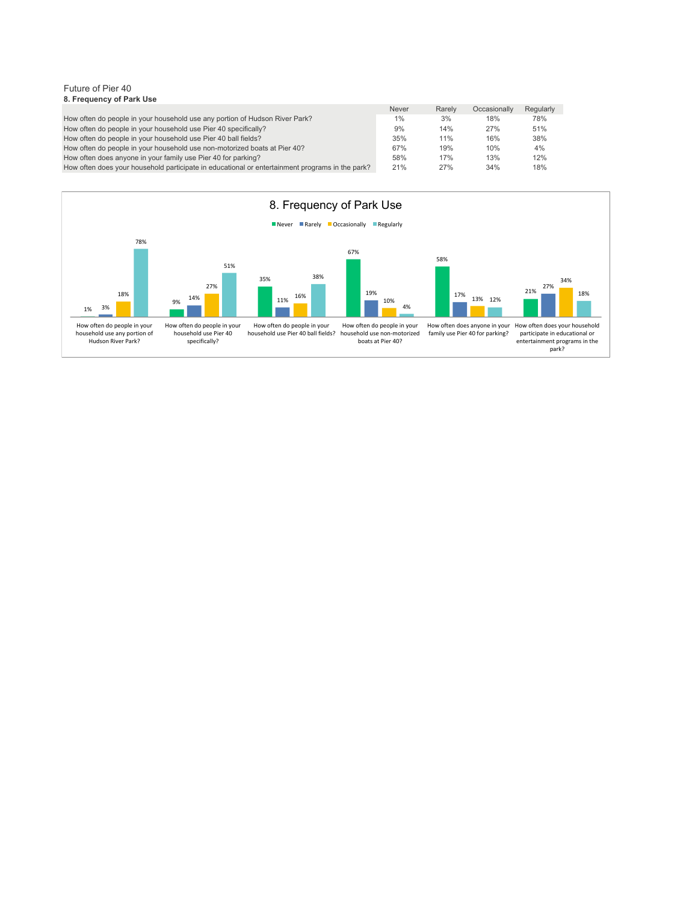#### Future of Pier 40 **8. Frequency of Park Use**

|                                                                                                 | <b>Never</b> | Rarely | Occasionally | Regularly |
|-------------------------------------------------------------------------------------------------|--------------|--------|--------------|-----------|
| How often do people in your household use any portion of Hudson River Park?                     | $1\%$        | 3%     | 18%          | 78%       |
| How often do people in your household use Pier 40 specifically?                                 | 9%           | 14%    | 27%          | 51%       |
| How often do people in your household use Pier 40 ball fields?                                  | 35%          | 11%    | 16%          | 38%       |
| How often do people in your household use non-motorized boats at Pier 40?                       | 67%          | 19%    | 10%          | 4%        |
| How often does anyone in your family use Pier 40 for parking?                                   | 58%          | 17%    | 13%          | 12%       |
| How often does your household participate in educational or entertainment programs in the park? | 21%          | 27%    | 34%          | 18%       |

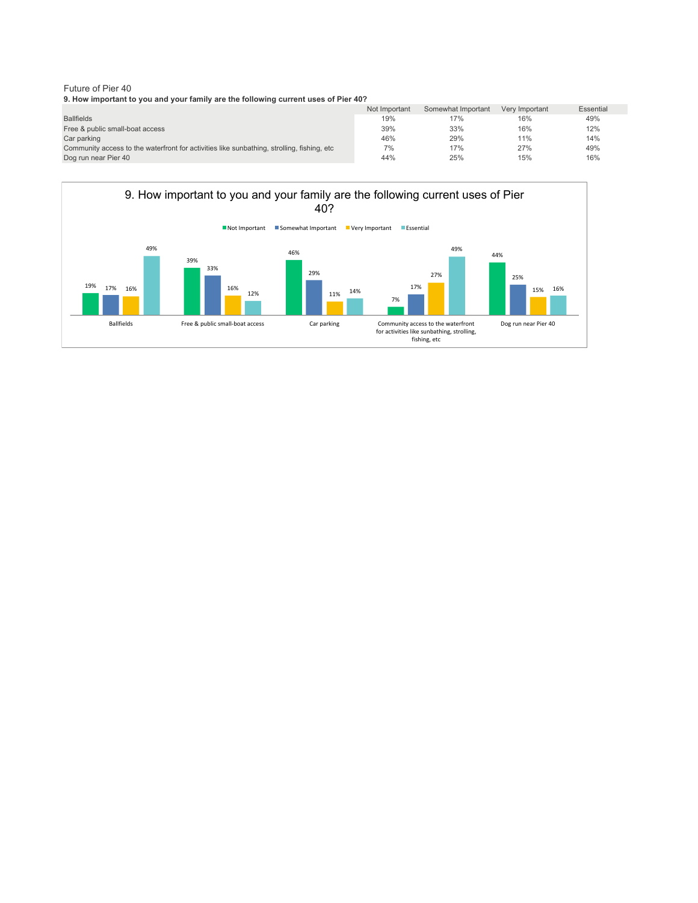#### Future of Pier 40 **9. How important to you and your family are the following current uses of Pier 40?**

|                                                                                             | Not Important | Somewhat Important | Very Important | Essential |
|---------------------------------------------------------------------------------------------|---------------|--------------------|----------------|-----------|
| <b>Ballfields</b>                                                                           | 19%           | 17%                | 16%            | 49%       |
| Free & public small-boat access                                                             | 39%           | 33%                | 16%            | 12%       |
| Car parking                                                                                 | 46%           | 29%                | 11%            | 14%       |
| Community access to the waterfront for activities like sunbathing, strolling, fishing, etc. | 7%            | 17%                | 27%            | 49%       |
| Dog run near Pier 40                                                                        | 44%           | 25%                | 15%            | 16%       |

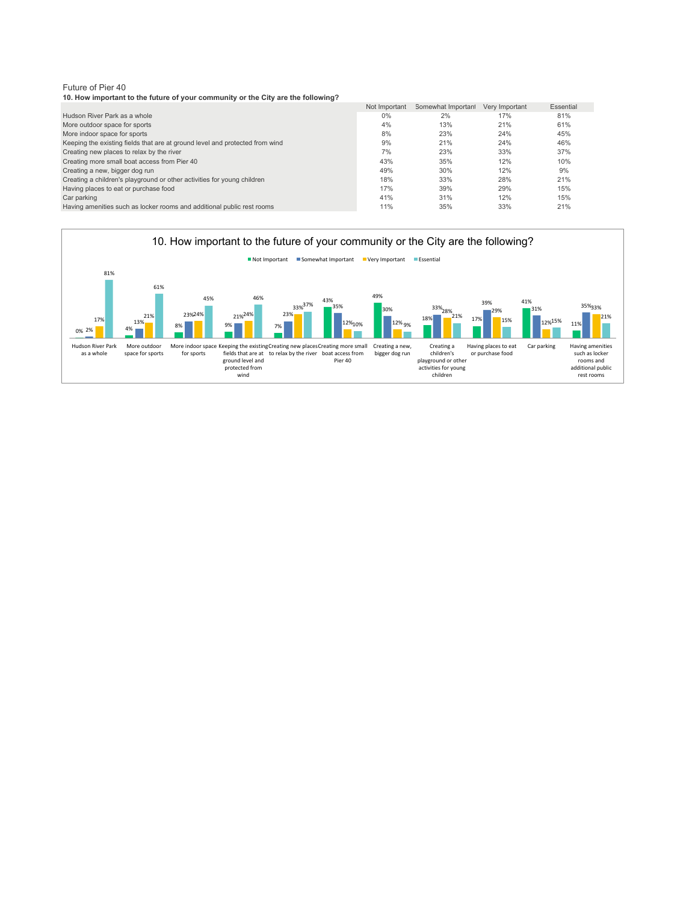**10. How important to the future of your community or the City are the following?**

|                                                                              | Not Important | Somewhat Important | Very Important | Essential |
|------------------------------------------------------------------------------|---------------|--------------------|----------------|-----------|
| Hudson River Park as a whole                                                 | $0\%$         | 2%                 | 17%            | 81%       |
| More outdoor space for sports                                                | 4%            | 13%                | 21%            | 61%       |
| More indoor space for sports                                                 | 8%            | 23%                | 24%            | 45%       |
| Keeping the existing fields that are at ground level and protected from wind | 9%            | 21%                | 24%            | 46%       |
| Creating new places to relax by the river                                    | 7%            | 23%                | 33%            | 37%       |
| Creating more small boat access from Pier 40                                 | 43%           | 35%                | 12%            | 10%       |
| Creating a new, bigger dog run                                               | 49%           | 30%                | 12%            | 9%        |
| Creating a children's playground or other activities for young children      | 18%           | 33%                | 28%            | 21%       |
| Having places to eat or purchase food                                        | 17%           | 39%                | 29%            | 15%       |
| Car parking                                                                  | 41%           | 31%                | 12%            | 15%       |
| Having amenities such as locker rooms and additional public rest rooms       | 11%           | 35%                | 33%            | 21%       |

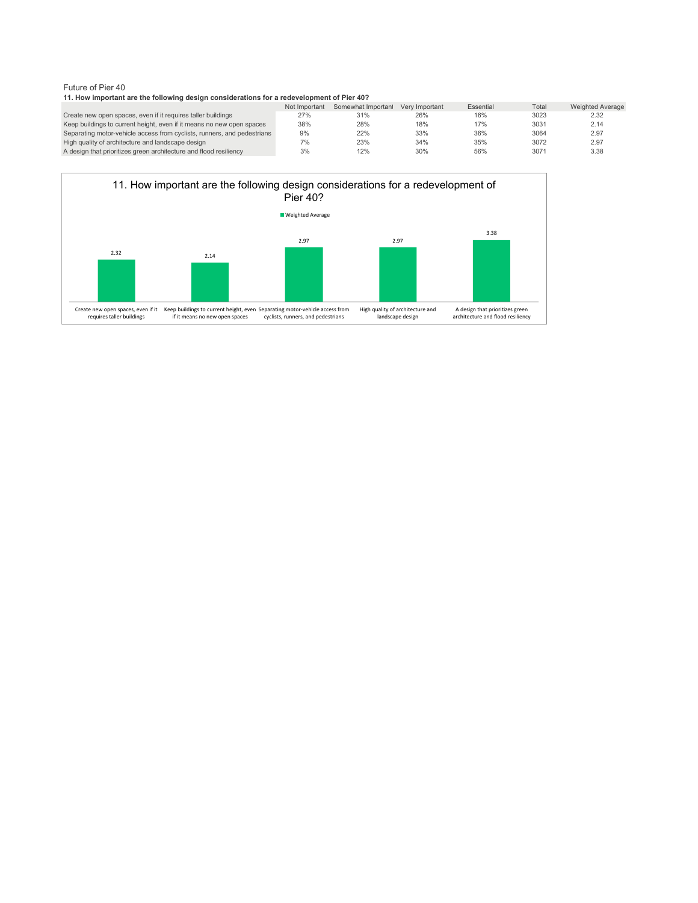#### **11. How important are the following design considerations for a redevelopment of Pier 40?**

|                                                                         | Not Important | Somewhat Important | Very Important | Essential | Total | <b>Weighted Average</b> |
|-------------------------------------------------------------------------|---------------|--------------------|----------------|-----------|-------|-------------------------|
| Create new open spaces, even if it requires taller buildings            | 27%           | 31%                | 26%            | 16%       | 3023  | 2.32                    |
| Keep buildings to current height, even if it means no new open spaces   | 38%           | 28%                | 18%            | 17%       | 3031  | 2.14                    |
| Separating motor-vehicle access from cyclists, runners, and pedestrians | 9%            | 22%                | 33%            | 36%       | 3064  | 2.97                    |
| High quality of architecture and landscape design                       | 7%            | 23%                | 34%            | 35%       | 3072  | 2.97                    |
| A design that prioritizes green architecture and flood resiliency       | 3%            | 12%                | 30%            | 56%       | 3071  | 3.38                    |

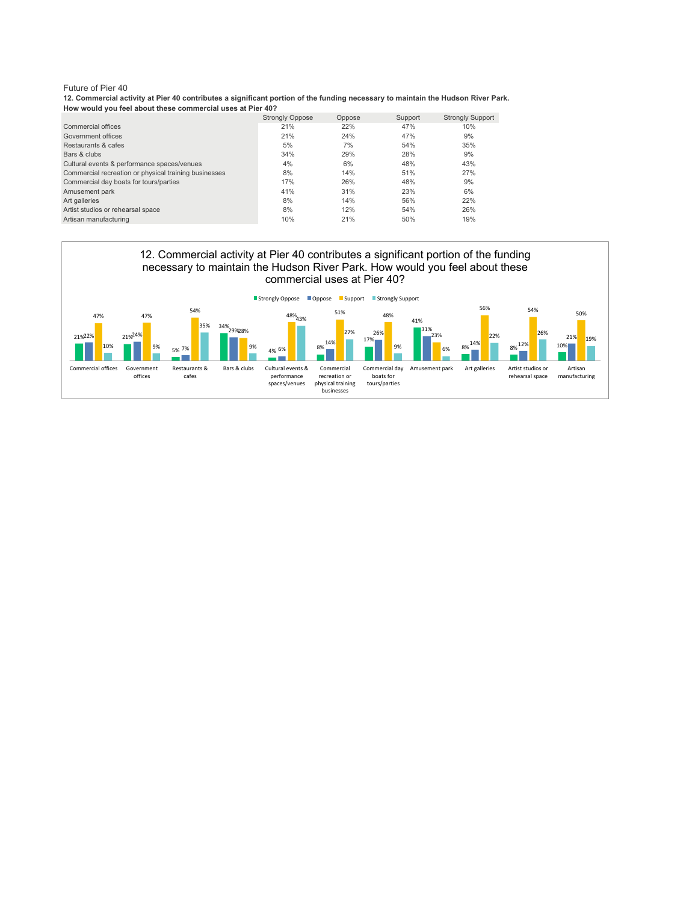**12. Commercial activity at Pier 40 contributes a significant portion of the funding necessary to maintain the Hudson River Park. How would you feel about these commercial uses at Pier 40?**

|                                                       | <b>Strongly Oppose</b> | Oppose | Support | <b>Strongly Support</b> |
|-------------------------------------------------------|------------------------|--------|---------|-------------------------|
| Commercial offices                                    | 21%                    | 22%    | 47%     | 10%                     |
| Government offices                                    | 21%                    | 24%    | 47%     | 9%                      |
| Restaurants & cafes                                   | 5%                     | 7%     | 54%     | 35%                     |
| Bars & clubs                                          | 34%                    | 29%    | 28%     | 9%                      |
| Cultural events & performance spaces/venues           | 4%                     | 6%     | 48%     | 43%                     |
| Commercial recreation or physical training businesses | 8%                     | 14%    | 51%     | 27%                     |
| Commercial day boats for tours/parties                | 17%                    | 26%    | 48%     | 9%                      |
| Amusement park                                        | 41%                    | 31%    | 23%     | 6%                      |
| Art galleries                                         | 8%                     | 14%    | 56%     | 22%                     |
| Artist studios or rehearsal space                     | 8%                     | 12%    | 54%     | 26%                     |
| Artisan manufacturing                                 | 10%                    | 21%    | 50%     | 19%                     |

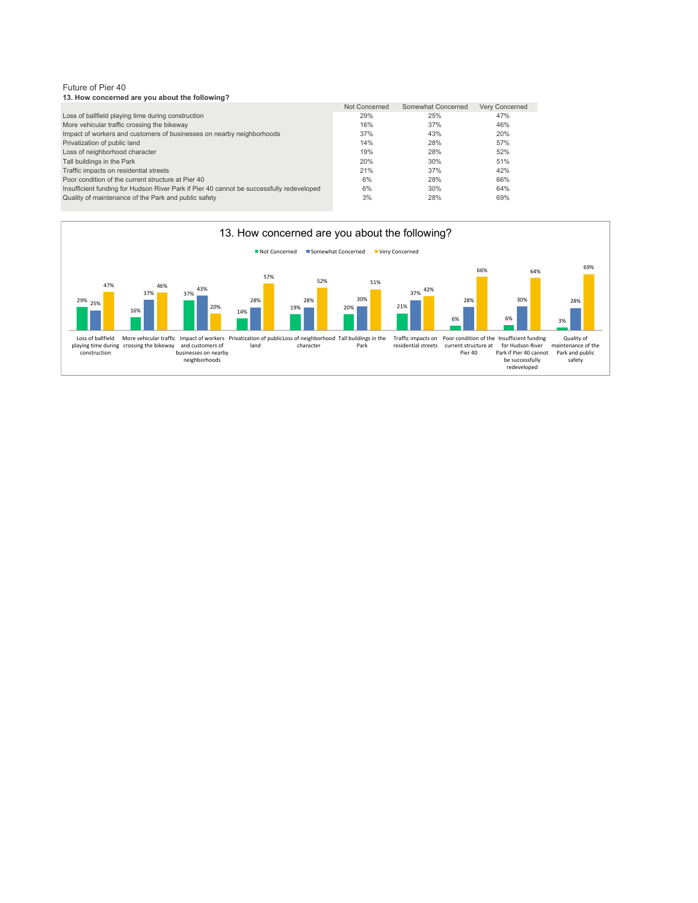Future of Pier 40 **13. How concerned are you about the following?**

|                                                                                          | Not Concerned | Somewhat Concerned | Very Concerned |
|------------------------------------------------------------------------------------------|---------------|--------------------|----------------|
| Loss of ballfield playing time during construction                                       | 29%           | 25%                | 47%            |
| More vehicular traffic crossing the bikeway                                              | 16%           | 37%                | 46%            |
| Impact of workers and customers of businesses on nearby neighborhoods                    | 37%           | 43%                | 20%            |
| Privatization of public land                                                             | 14%           | 28%                | 57%            |
| Loss of neighborhood character                                                           | 19%           | 28%                | 52%            |
| Tall buildings in the Park                                                               | 20%           | 30%                | 51%            |
| Traffic impacts on residential streets                                                   | 21%           | 37%                | 42%            |
| Poor condition of the current structure at Pier 40                                       | 6%            | 28%                | 66%            |
| Insufficient funding for Hudson River Park if Pier 40 cannot be successfully redeveloped | 6%            | 30%                | 64%            |
| Quality of maintenance of the Park and public safety                                     | 3%            | 28%                | 69%            |

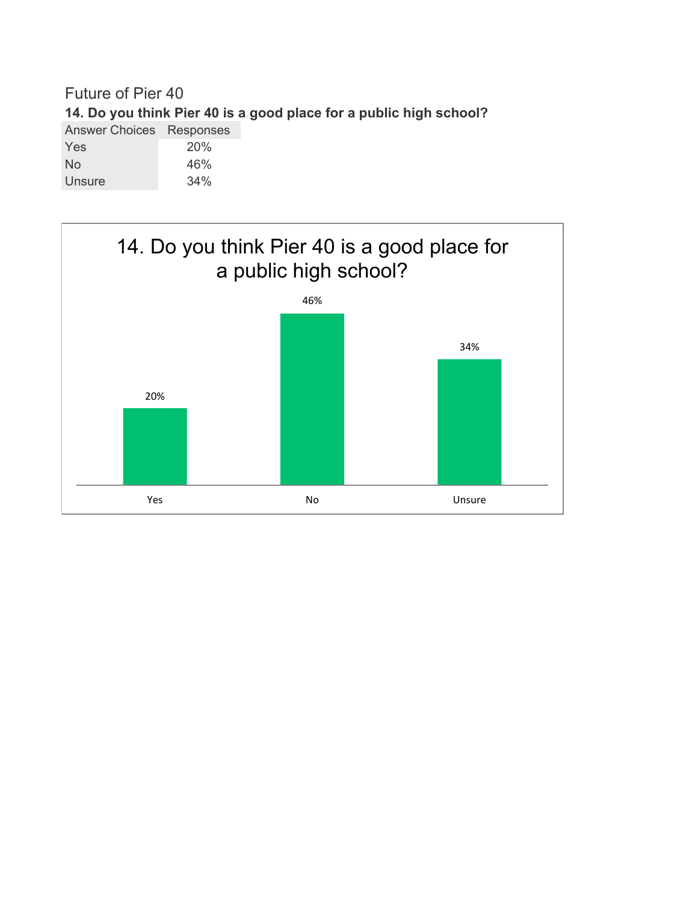# Future of Pier 40 **14. Do you think Pier 40 is a good place for a public high school?** Answer Choices Responses Yes 20%

| No     | 46% |
|--------|-----|
| Unsure | 34% |